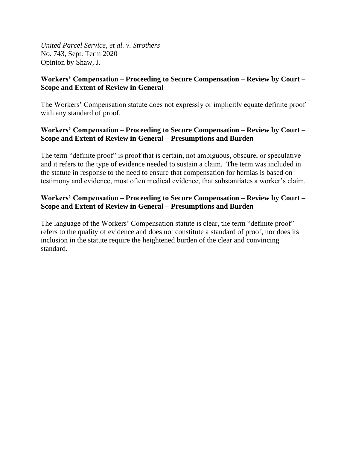*United Parcel Service, et al. v. Strothers*  No. 743, Sept. Term 2020 Opinion by Shaw, J.

# **Workers' Compensation – Proceeding to Secure Compensation – Review by Court – Scope and Extent of Review in General**

The Workers' Compensation statute does not expressly or implicitly equate definite proof with any standard of proof.

# **Workers' Compensation – Proceeding to Secure Compensation – Review by Court – Scope and Extent of Review in General – Presumptions and Burden**

The term "definite proof" is proof that is certain, not ambiguous, obscure, or speculative and it refers to the type of evidence needed to sustain a claim. The term was included in the statute in response to the need to ensure that compensation for hernias is based on testimony and evidence, most often medical evidence, that substantiates a worker's claim.

# **Workers' Compensation – Proceeding to Secure Compensation – Review by Court – Scope and Extent of Review in General – Presumptions and Burden**

The language of the Workers' Compensation statute is clear, the term "definite proof" refers to the quality of evidence and does not constitute a standard of proof, nor does its inclusion in the statute require the heightened burden of the clear and convincing standard.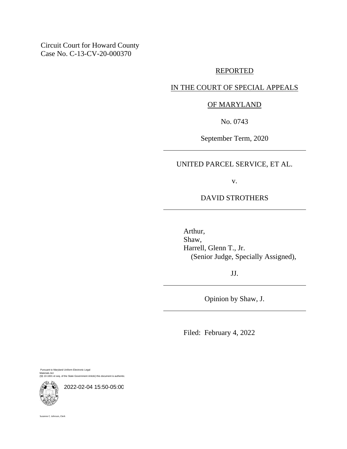Circuit Court for Howard County Case No. C-13-CV-20-000370

## REPORTED

## IN THE COURT OF SPECIAL APPEALS

## OF MARYLAND

No. 0743

September Term, 2020

UNITED PARCEL SERVICE, ET AL.

v.

## DAVID STROTHERS

Arthur, Shaw, Harrell, Glenn T., Jr. (Senior Judge, Specially Assigned),

JJ.

Opinion by Shaw, J.

Filed: February 4, 2022

Pursuant to Maryland Uniform Electronic Legal Materials Act (§§ 10-1601 et seq. of the State Government Article) this document is authentic.



2022-02-04 15:50-05:00

Suzanne C. Johnson, Clerk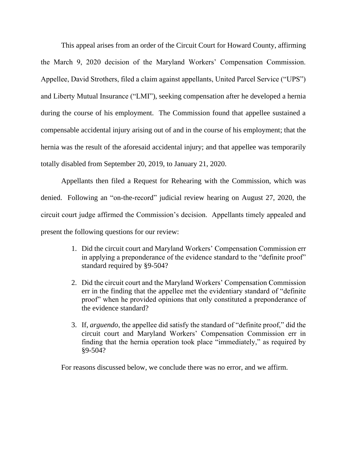This appeal arises from an order of the Circuit Court for Howard County, affirming the March 9, 2020 decision of the Maryland Workers' Compensation Commission. Appellee, David Strothers, filed a claim against appellants, United Parcel Service ("UPS") and Liberty Mutual Insurance ("LMI"), seeking compensation after he developed a hernia during the course of his employment. The Commission found that appellee sustained a compensable accidental injury arising out of and in the course of his employment; that the hernia was the result of the aforesaid accidental injury; and that appellee was temporarily totally disabled from September 20, 2019, to January 21, 2020.

Appellants then filed a Request for Rehearing with the Commission, which was denied. Following an "on-the-record" judicial review hearing on August 27, 2020, the circuit court judge affirmed the Commission's decision. Appellants timely appealed and present the following questions for our review:

- 1. Did the circuit court and Maryland Workers' Compensation Commission err in applying a preponderance of the evidence standard to the "definite proof" standard required by §9-504?
- 2. Did the circuit court and the Maryland Workers' Compensation Commission err in the finding that the appellee met the evidentiary standard of "definite proof" when he provided opinions that only constituted a preponderance of the evidence standard?
- 3. If, *arguendo*, the appellee did satisfy the standard of "definite proof," did the circuit court and Maryland Workers' Compensation Commission err in finding that the hernia operation took place "immediately," as required by §9-504?

For reasons discussed below, we conclude there was no error, and we affirm.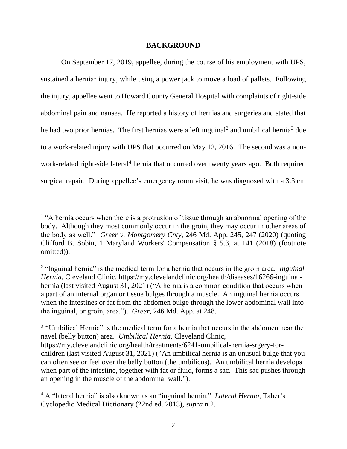#### **BACKGROUND**

On September 17, 2019, appellee, during the course of his employment with UPS, sustained a hernia<sup>1</sup> injury, while using a power jack to move a load of pallets. Following the injury, appellee went to Howard County General Hospital with complaints of right-side abdominal pain and nausea. He reported a history of hernias and surgeries and stated that he had two prior hernias. The first hernias were a left inguinal<sup>2</sup> and umbilical hernia<sup>3</sup> due to a work-related injury with UPS that occurred on May 12, 2016. The second was a nonwork-related right-side lateral<sup>4</sup> hernia that occurred over twenty years ago. Both required surgical repair. During appellee's emergency room visit, he was diagnosed with a 3.3 cm

<sup>&</sup>lt;sup>1</sup> "A hernia occurs when there is a protrusion of tissue through an abnormal opening of the body. Although they most commonly occur in the groin, they may occur in other areas of the body as well." *Greer v. Montgomery Cnty*, 246 Md. App. 245, 247 (2020) (quoting Clifford B. Sobin, 1 Maryland Workers' Compensation § 5.3, at 141 (2018) (footnote omitted)).

<sup>&</sup>lt;sup>2</sup> "Inguinal hernia" is the medical term for a hernia that occurs in the groin area. *Inguinal Hernia*, Cleveland Clinic, https://my.clevelandclinic.org/health/diseases/16266-inguinalhernia (last visited August 31, 2021) ("A hernia is a common condition that occurs when a part of an internal organ or tissue bulges through a muscle. An inguinal hernia occurs when the intestines or fat from the abdomen bulge through the lower abdominal wall into the inguinal, or groin, area."). *Greer*, 246 Md. App. at 248.

<sup>&</sup>lt;sup>3</sup> "Umbilical Hernia" is the medical term for a hernia that occurs in the abdomen near the navel (belly button) area. *Umbilical Hernia*, Cleveland Clinic, https://my.clevelandclinic.org/health/treatments/6241-umbilical-hernia-srgery-forchildren (last visited August 31, 2021) ("An umbilical hernia is an unusual bulge that you can often see or feel over the belly button (the umbilicus). An umbilical hernia develops when part of the intestine, together with fat or fluid, forms a sac. This sac pushes through an opening in the muscle of the abdominal wall.").

<sup>4</sup> A "lateral hernia" is also known as an "inguinal hernia." *Lateral Hernia*, Taber's Cyclopedic Medical Dictionary (22nd ed. 2013), *supra* n.2.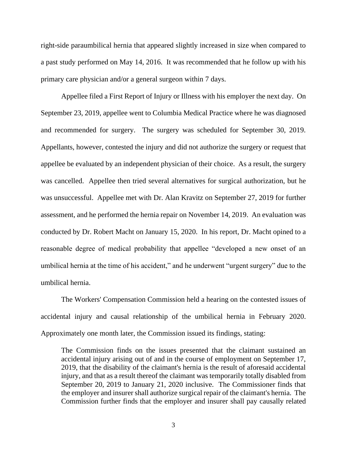right-side paraumbilical hernia that appeared slightly increased in size when compared to a past study performed on May 14, 2016. It was recommended that he follow up with his primary care physician and/or a general surgeon within 7 days.

Appellee filed a First Report of Injury or Illness with his employer the next day. On September 23, 2019, appellee went to Columbia Medical Practice where he was diagnosed and recommended for surgery. The surgery was scheduled for September 30, 2019. Appellants, however, contested the injury and did not authorize the surgery or request that appellee be evaluated by an independent physician of their choice. As a result, the surgery was cancelled. Appellee then tried several alternatives for surgical authorization, but he was unsuccessful. Appellee met with Dr. Alan Kravitz on September 27, 2019 for further assessment, and he performed the hernia repair on November 14, 2019. An evaluation was conducted by Dr. Robert Macht on January 15, 2020. In his report, Dr. Macht opined to a reasonable degree of medical probability that appellee "developed a new onset of an umbilical hernia at the time of his accident," and he underwent "urgent surgery" due to the umbilical hernia.

The Workers' Compensation Commission held a hearing on the contested issues of accidental injury and causal relationship of the umbilical hernia in February 2020. Approximately one month later, the Commission issued its findings, stating:

The Commission finds on the issues presented that the claimant sustained an accidental injury arising out of and in the course of employment on September 17, 2019, that the disability of the claimant's hernia is the result of aforesaid accidental injury, and that as a result thereof the claimant was temporarily totally disabled from September 20, 2019 to January 21, 2020 inclusive. The Commissioner finds that the employer and insurer shall authorize surgical repair of the claimant's hernia. The Commission further finds that the employer and insurer shall pay causally related

3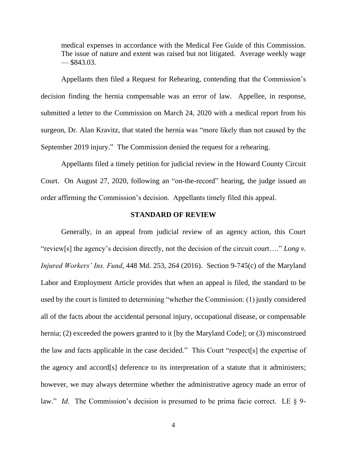medical expenses in accordance with the Medical Fee Guide of this Commission. The issue of nature and extent was raised but not litigated. Average weekly wage  $-$ \$843.03.

Appellants then filed a Request for Rehearing, contending that the Commission's decision finding the hernia compensable was an error of law. Appellee, in response, submitted a letter to the Commission on March 24, 2020 with a medical report from his surgeon, Dr. Alan Kravitz, that stated the hernia was "more likely than not caused by the September 2019 injury." The Commission denied the request for a rehearing.

Appellants filed a timely petition for judicial review in the Howard County Circuit Court. On August 27, 2020, following an "on-the-record" hearing, the judge issued an order affirming the Commission's decision. Appellants timely filed this appeal.

#### **STANDARD OF REVIEW**

Generally, in an appeal from judicial review of an agency action, this Court "review[s] the agency's decision directly, not the decision of the circuit court…." *Long v. Injured Workers' Ins. Fund*, 448 Md. 253, 264 (2016). Section 9-745(c) of the Maryland Labor and Employment Article provides that when an appeal is filed, the standard to be used by the court is limited to determining "whether the Commission: (1) justly considered all of the facts about the accidental personal injury, occupational disease, or compensable hernia; (2) exceeded the powers granted to it [by the Maryland Code]; or (3) misconstrued the law and facts applicable in the case decided." This Court "respect[s] the expertise of the agency and accord[s] deference to its interpretation of a statute that it administers; however, we may always determine whether the administrative agency made an error of law." *Id.* The Commission's decision is presumed to be prima facie correct. LE § 9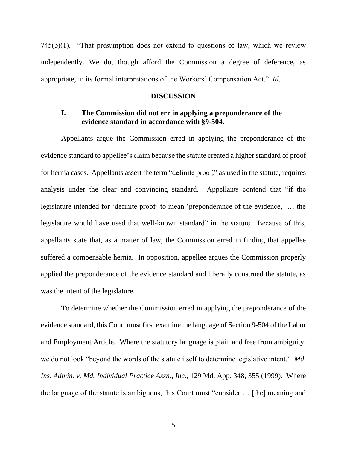745(b)(1). "That presumption does not extend to questions of law, which we review independently. We do, though afford the Commission a degree of deference, as appropriate, in its formal interpretations of the Workers' Compensation Act." *Id*.

#### **DISCUSSION**

## **I. The Commission did not err in applying a preponderance of the evidence standard in accordance with §9-504.**

Appellants argue the Commission erred in applying the preponderance of the evidence standard to appellee's claim because the statute created a higher standard of proof for hernia cases. Appellants assert the term "definite proof," as used in the statute, requires analysis under the clear and convincing standard. Appellants contend that "if the legislature intended for 'definite proof' to mean 'preponderance of the evidence,' … the legislature would have used that well-known standard" in the statute. Because of this, appellants state that, as a matter of law, the Commission erred in finding that appellee suffered a compensable hernia. In opposition, appellee argues the Commission properly applied the preponderance of the evidence standard and liberally construed the statute, as was the intent of the legislature.

To determine whether the Commission erred in applying the preponderance of the evidence standard, this Court must first examine the language of Section 9-504 of the Labor and Employment Article. Where the statutory language is plain and free from ambiguity, we do not look "beyond the words of the statute itself to determine legislative intent." *Md. Ins. Admin. v. Md. Individual Practice Assn., Inc.*, 129 Md. App. 348, 355 (1999). Where the language of the statute is ambiguous, this Court must "consider … [the] meaning and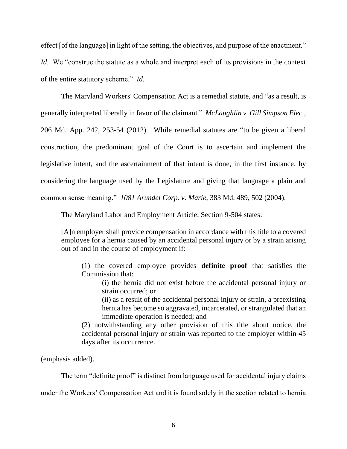effect [of the language] in light of the setting, the objectives, and purpose of the enactment." *Id.* We "construe the statute as a whole and interpret each of its provisions in the context of the entire statutory scheme." *Id*.

The Maryland Workers' Compensation Act is a remedial statute, and "as a result, is generally interpreted liberally in favor of the claimant." *McLaughlin v. Gill Simpson Elec.*, 206 Md. App. 242, 253-54 (2012). While remedial statutes are "to be given a liberal construction, the predominant goal of the Court is to ascertain and implement the legislative intent, and the ascertainment of that intent is done, in the first instance, by considering the language used by the Legislature and giving that language a plain and common sense meaning." *1081 Arundel Corp. v. Marie*, 383 Md. 489, 502 (2004).

The Maryland Labor and Employment Article, Section 9-504 states:

[A]n employer shall provide compensation in accordance with this title to a covered employee for a hernia caused by an accidental personal injury or by a strain arising out of and in the course of employment if:

(1) the covered employee provides **definite proof** that satisfies the Commission that:

(i) the hernia did not exist before the accidental personal injury or strain occurred; or

(ii) as a result of the accidental personal injury or strain, a preexisting hernia has become so aggravated, incarcerated, or strangulated that an immediate operation is needed; and

(2) notwithstanding any other provision of this title about notice, the accidental personal injury or strain was reported to the employer within 45 days after its occurrence.

(emphasis added).

The term "definite proof" is distinct from language used for accidental injury claims

under the Workers' Compensation Act and it is found solely in the section related to hernia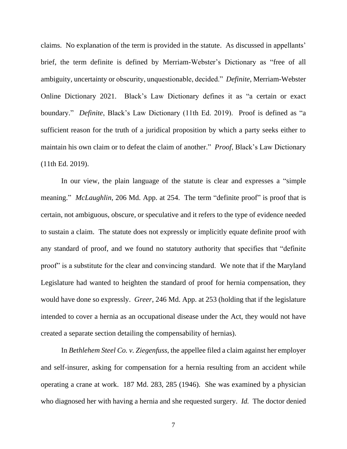claims. No explanation of the term is provided in the statute. As discussed in appellants' brief, the term definite is defined by Merriam-Webster's Dictionary as "free of all ambiguity, uncertainty or obscurity, unquestionable, decided." *Definite*, Merriam-Webster Online Dictionary 2021. Black's Law Dictionary defines it as "a certain or exact boundary." *Definite*, Black's Law Dictionary (11th Ed. 2019). Proof is defined as "a sufficient reason for the truth of a juridical proposition by which a party seeks either to maintain his own claim or to defeat the claim of another." *Proof*, Black's Law Dictionary (11th Ed. 2019).

In our view, the plain language of the statute is clear and expresses a "simple meaning." *McLaughlin*, 206 Md. App. at 254. The term "definite proof" is proof that is certain, not ambiguous, obscure, or speculative and it refers to the type of evidence needed to sustain a claim. The statute does not expressly or implicitly equate definite proof with any standard of proof, and we found no statutory authority that specifies that "definite proof" is a substitute for the clear and convincing standard. We note that if the Maryland Legislature had wanted to heighten the standard of proof for hernia compensation, they would have done so expressly. *Greer*, 246 Md. App. at 253 (holding that if the legislature intended to cover a hernia as an occupational disease under the Act, they would not have created a separate section detailing the compensability of hernias).

In *Bethlehem Steel Co. v. Ziegenfuss*, the appellee filed a claim against her employer and self-insurer, asking for compensation for a hernia resulting from an accident while operating a crane at work. 187 Md. 283, 285 (1946). She was examined by a physician who diagnosed her with having a hernia and she requested surgery. *Id.* The doctor denied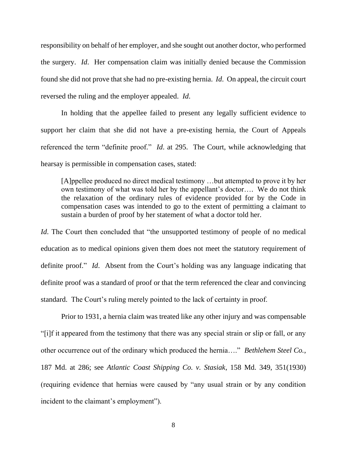responsibility on behalf of her employer, and she sought out another doctor, who performed the surgery. *Id*. Her compensation claim was initially denied because the Commission found she did not prove that she had no pre-existing hernia. *Id*. On appeal, the circuit court reversed the ruling and the employer appealed. *Id*.

In holding that the appellee failed to present any legally sufficient evidence to support her claim that she did not have a pre-existing hernia, the Court of Appeals referenced the term "definite proof." *Id*. at 295. The Court, while acknowledging that hearsay is permissible in compensation cases, stated:

[A]ppellee produced no direct medical testimony …but attempted to prove it by her own testimony of what was told her by the appellant's doctor…. We do not think the relaxation of the ordinary rules of evidence provided for by the Code in compensation cases was intended to go to the extent of permitting a claimant to sustain a burden of proof by her statement of what a doctor told her.

*Id*. The Court then concluded that "the unsupported testimony of people of no medical education as to medical opinions given them does not meet the statutory requirement of definite proof." *Id*. Absent from the Court's holding was any language indicating that definite proof was a standard of proof or that the term referenced the clear and convincing standard. The Court's ruling merely pointed to the lack of certainty in proof.

Prior to 1931, a hernia claim was treated like any other injury and was compensable "[i]f it appeared from the testimony that there was any special strain or slip or fall, or any other occurrence out of the ordinary which produced the hernia…." *Bethlehem Steel Co.*, 187 Md. at 286; see *Atlantic Coast Shipping Co. v. Stasiak*, 158 Md. 349, 351(1930) (requiring evidence that hernias were caused by "any usual strain or by any condition incident to the claimant's employment").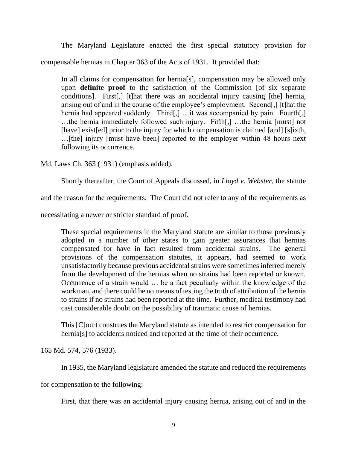The Maryland Legislature enacted the first special statutory provision for compensable hernias in Chapter 363 of the Acts of 1931. It provided that:

In all claims for compensation for hernia[s], compensation may be allowed only upon **definite proof** to the satisfaction of the Commission [of six separate conditions]. First[,] [t]hat there was an accidental injury causing [the] hernia, arising out of and in the course of the employee's employment. Second[,] [t]hat the hernia had appeared suddenly. Third[,] ...it was accompanied by pain. Fourth[,] …the hernia immediately followed such injury. Fifth[,] …the hernia [must] not [have] exist[ed] prior to the injury for which compensation is claimed [and] [s]ixth, …[the] injury [must have been] reported to the employer within 48 hours next following its occurrence.

Md. Laws Ch. 363 (1931) (emphasis added).

Shortly thereafter, the Court of Appeals discussed, in *Lloyd v. Webster*, the statute

and the reason for the requirements. The Court did not refer to any of the requirements as

necessitating a newer or stricter standard of proof.

These special requirements in the Maryland statute are similar to those previously adopted in a number of other states to gain greater assurances that hernias compensated for have in fact resulted from accidental strains. The general provisions of the compensation statutes, it appears, had seemed to work unsatisfactorily because previous accidental strains were sometimes inferred merely from the development of the hernias when no strains had been reported or known. Occurrence of a strain would … be a fact peculiarly within the knowledge of the workman, and there could be no means of testing the truth of attribution of the hernia to strains if no strains had been reported at the time. Further, medical testimony had cast considerable doubt on the possibility of traumatic cause of hernias.

This [C]ourt construes the Maryland statute as intended to restrict compensation for hernia[s] to accidents noticed and reported at the time of their occurrence.

165 Md. 574, 576 (1933).

In 1935, the Maryland legislature amended the statute and reduced the requirements

for compensation to the following:

First, that there was an accidental injury causing hernia, arising out of and in the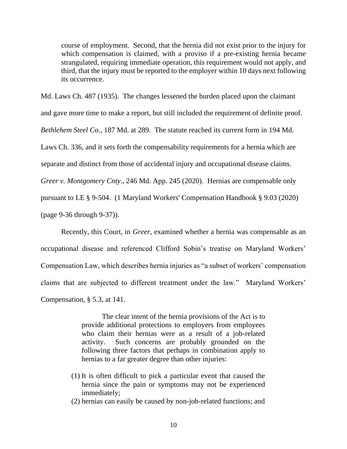course of employment. Second, that the hernia did not exist prior to the injury for which compensation is claimed, with a proviso if a pre-existing hernia became strangulated, requiring immediate operation, this requirement would not apply, and third, that the injury must be reported to the employer within 10 days next following its occurrence.

Md. Laws Ch. 487 (1935). The changes lessened the burden placed upon the claimant and gave more time to make a report, but still included the requirement of definite proof. *Bethlehem Steel Co.*, 187 Md. at 289. The statute reached its current form in 194 Md. Laws Ch. 336, and it sets forth the compensability requirements for a hernia which are separate and distinct from those of accidental injury and occupational disease claims. *Greer v. Montgomery Cnty*., 246 Md. App. 245 (2020). Hernias are compensable only pursuant to LE § 9-504. (1 Maryland Workers' Compensation Handbook § 9.03 (2020)

(page 9-36 through 9-37)).

Recently, this Court, in *Greer,* examined whether a hernia was compensable as an occupational disease and referenced Clifford Sobin's treatise on Maryland Workers' Compensation Law, which describes hernia injuries as "a subset of workers' compensation claims that are subjected to different treatment under the law." Maryland Workers' Compensation, § 5.3, at 141.

> The clear intent of the hernia provisions of the Act is to provide additional protections to employers from employees who claim their hernias were as a result of a job-related activity. Such concerns are probably grounded on the following three factors that perhaps in combination apply to hernias to a far greater degree than other injuries:

- (1) It is often difficult to pick a particular event that caused the hernia since the pain or symptoms may not be experienced immediately;
- (2) hernias can easily be caused by non-job-related functions; and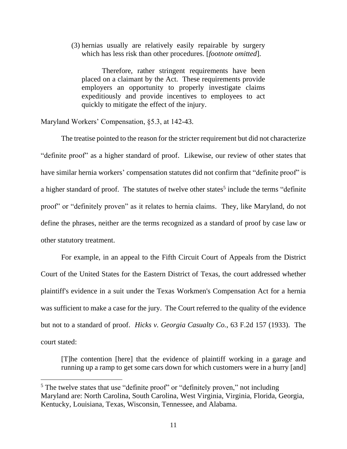(3) hernias usually are relatively easily repairable by surgery which has less risk than other procedures. [*footnote omitted*].

Therefore, rather stringent requirements have been placed on a claimant by the Act. These requirements provide employers an opportunity to properly investigate claims expeditiously and provide incentives to employees to act quickly to mitigate the effect of the injury.

Maryland Workers' Compensation, §5.3, at 142-43.

The treatise pointed to the reason for the stricter requirement but did not characterize "definite proof" as a higher standard of proof. Likewise, our review of other states that have similar hernia workers' compensation statutes did not confirm that "definite proof" is a higher standard of proof. The statutes of twelve other states<sup>5</sup> include the terms "definite proof" or "definitely proven" as it relates to hernia claims. They, like Maryland, do not define the phrases, neither are the terms recognized as a standard of proof by case law or other statutory treatment.

For example, in an appeal to the Fifth Circuit Court of Appeals from the District Court of the United States for the Eastern District of Texas, the court addressed whether plaintiff's evidence in a suit under the Texas Workmen's Compensation Act for a hernia was sufficient to make a case for the jury. The Court referred to the quality of the evidence but not to a standard of proof. *Hicks v. Georgia Casualty Co.*, 63 F.2d 157 (1933). The court stated:

[T]he contention [here] that the evidence of plaintiff working in a garage and running up a ramp to get some cars down for which customers were in a hurry [and]

<sup>&</sup>lt;sup>5</sup> The twelve states that use "definite proof" or "definitely proven," not including Maryland are: North Carolina, South Carolina, West Virginia, Virginia, Florida, Georgia, Kentucky, Louisiana, Texas, Wisconsin, Tennessee, and Alabama.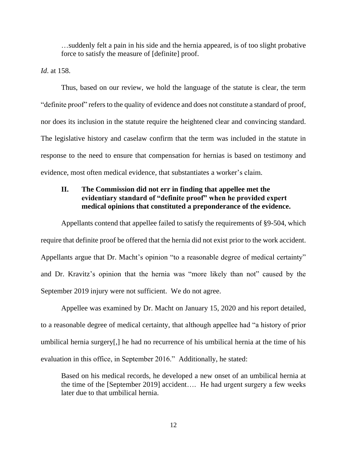…suddenly felt a pain in his side and the hernia appeared, is of too slight probative force to satisfy the measure of [definite] proof.

*Id*. at 158.

Thus, based on our review, we hold the language of the statute is clear, the term "definite proof" refers to the quality of evidence and does not constitute a standard of proof, nor does its inclusion in the statute require the heightened clear and convincing standard. The legislative history and caselaw confirm that the term was included in the statute in response to the need to ensure that compensation for hernias is based on testimony and evidence, most often medical evidence, that substantiates a worker's claim.

# **II. The Commission did not err in finding that appellee met the evidentiary standard of "definite proof" when he provided expert medical opinions that constituted a preponderance of the evidence.**

Appellants contend that appellee failed to satisfy the requirements of §9-504, which require that definite proof be offered that the hernia did not exist prior to the work accident. Appellants argue that Dr. Macht's opinion "to a reasonable degree of medical certainty" and Dr. Kravitz's opinion that the hernia was "more likely than not" caused by the September 2019 injury were not sufficient. We do not agree.

Appellee was examined by Dr. Macht on January 15, 2020 and his report detailed, to a reasonable degree of medical certainty, that although appellee had "a history of prior umbilical hernia surgery[,] he had no recurrence of his umbilical hernia at the time of his evaluation in this office, in September 2016." Additionally, he stated:

Based on his medical records, he developed a new onset of an umbilical hernia at the time of the [September 2019] accident…. He had urgent surgery a few weeks later due to that umbilical hernia.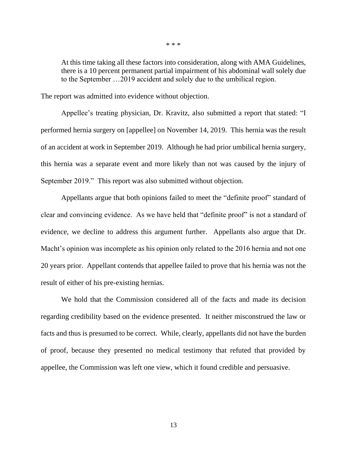At this time taking all these factors into consideration, along with AMA Guidelines, there is a 10 percent permanent partial impairment of his abdominal wall solely due to the September …2019 accident and solely due to the umbilical region.

The report was admitted into evidence without objection.

Appellee's treating physician, Dr. Kravitz, also submitted a report that stated: "I performed hernia surgery on [appellee] on November 14, 2019. This hernia was the result of an accident at work in September 2019. Although he had prior umbilical hernia surgery, this hernia was a separate event and more likely than not was caused by the injury of September 2019." This report was also submitted without objection.

Appellants argue that both opinions failed to meet the "definite proof" standard of clear and convincing evidence. As we have held that "definite proof" is not a standard of evidence, we decline to address this argument further. Appellants also argue that Dr. Macht's opinion was incomplete as his opinion only related to the 2016 hernia and not one 20 years prior. Appellant contends that appellee failed to prove that his hernia was not the result of either of his pre-existing hernias.

We hold that the Commission considered all of the facts and made its decision regarding credibility based on the evidence presented. It neither misconstrued the law or facts and thus is presumed to be correct. While, clearly, appellants did not have the burden of proof, because they presented no medical testimony that refuted that provided by appellee, the Commission was left one view, which it found credible and persuasive.

\* \* \*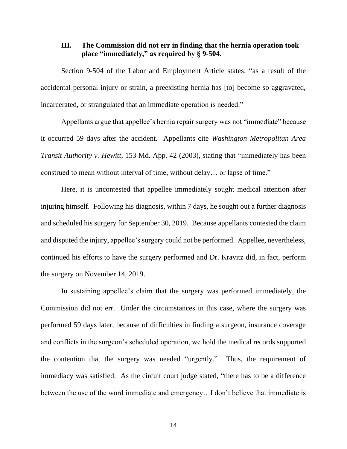## **III. The Commission did not err in finding that the hernia operation took place "immediately," as required by § 9-504.**

Section 9-504 of the Labor and Employment Article states: "as a result of the accidental personal injury or strain, a preexisting hernia has [to] become so aggravated, incarcerated, or strangulated that an immediate operation is needed."

Appellants argue that appellee's hernia repair surgery was not "immediate" because it occurred 59 days after the accident. Appellants cite *Washington Metropolitan Area Transit Authority v. Hewitt*, 153 Md. App. 42 (2003), stating that "immediately has been construed to mean without interval of time, without delay… or lapse of time."

Here, it is uncontested that appellee immediately sought medical attention after injuring himself. Following his diagnosis, within 7 days, he sought out a further diagnosis and scheduled his surgery for September 30, 2019. Because appellants contested the claim and disputed the injury, appellee's surgery could not be performed. Appellee, nevertheless, continued his efforts to have the surgery performed and Dr. Kravitz did, in fact, perform the surgery on November 14, 2019.

In sustaining appellee's claim that the surgery was performed immediately, the Commission did not err. Under the circumstances in this case, where the surgery was performed 59 days later, because of difficulties in finding a surgeon, insurance coverage and conflicts in the surgeon's scheduled operation, we hold the medical records supported the contention that the surgery was needed "urgently." Thus, the requirement of immediacy was satisfied. As the circuit court judge stated, "there has to be a difference between the use of the word immediate and emergency…I don't believe that immediate is